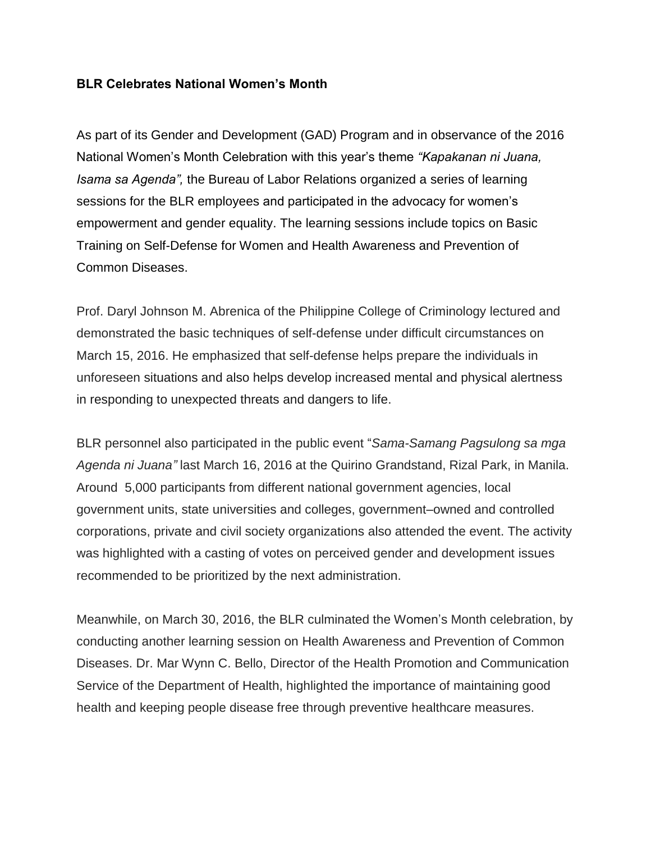## **BLR Celebrates National Women's Month**

As part of its Gender and Development (GAD) Program and in observance of the 2016 National Women's Month Celebration with this year's theme *"Kapakanan ni Juana, Isama sa Agenda",* the Bureau of Labor Relations organized a series of learning sessions for the BLR employees and participated in the advocacy for women's empowerment and gender equality. The learning sessions include topics on Basic Training on Self-Defense for Women and Health Awareness and Prevention of Common Diseases.

Prof. Daryl Johnson M. Abrenica of the Philippine College of Criminology lectured and demonstrated the basic techniques of self-defense under difficult circumstances on March 15, 2016. He emphasized that self-defense helps prepare the individuals in unforeseen situations and also helps develop increased mental and physical alertness in responding to unexpected threats and dangers to life.

BLR personnel also participated in the public event "*Sama-Samang Pagsulong sa mga Agenda ni Juana"* last March 16, 2016 at the Quirino Grandstand, Rizal Park, in Manila. Around 5,000 participants from different national government agencies, local government units, state universities and colleges, government–owned and controlled corporations, private and civil society organizations also attended the event. The activity was highlighted with a casting of votes on perceived gender and development issues recommended to be prioritized by the next administration.

Meanwhile, on March 30, 2016, the BLR culminated the Women's Month celebration, by conducting another learning session on Health Awareness and Prevention of Common Diseases. Dr. Mar Wynn C. Bello, Director of the Health Promotion and Communication Service of the Department of Health, highlighted the importance of maintaining good health and keeping people disease free through preventive healthcare measures.